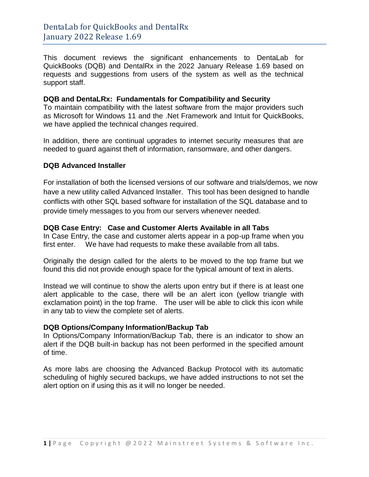This document reviews the significant enhancements to DentaLab for QuickBooks (DQB) and DentalRx in the 2022 January Release 1.69 based on requests and suggestions from users of the system as well as the technical support staff.

#### **DQB and DentaLRx: Fundamentals for Compatibility and Security**

To maintain compatibility with the latest software from the major providers such as Microsoft for Windows 11 and the .Net Framework and Intuit for QuickBooks, we have applied the technical changes required.

In addition, there are continual upgrades to internet security measures that are needed to guard against theft of information, ransomware, and other dangers.

## **DQB Advanced Installer**

For installation of both the licensed versions of our software and trials/demos, we now have a new utility called Advanced Installer. This tool has been designed to handle conflicts with other SQL based software for installation of the SQL database and to provide timely messages to you from our servers whenever needed.

## **DQB Case Entry: Case and Customer Alerts Available in all Tabs**

In Case Entry, the case and customer alerts appear in a pop-up frame when you first enter. We have had requests to make these available from all tabs.

Originally the design called for the alerts to be moved to the top frame but we found this did not provide enough space for the typical amount of text in alerts.

Instead we will continue to show the alerts upon entry but if there is at least one alert applicable to the case, there will be an alert icon (yellow triangle with exclamation point) in the top frame. The user will be able to click this icon while in any tab to view the complete set of alerts.

#### **DQB Options/Company Information/Backup Tab**

In Options/Company Information/Backup Tab, there is an indicator to show an alert if the DQB built-in backup has not been performed in the specified amount of time.

As more labs are choosing the Advanced Backup Protocol with its automatic scheduling of highly secured backups, we have added instructions to not set the alert option on if using this as it will no longer be needed.